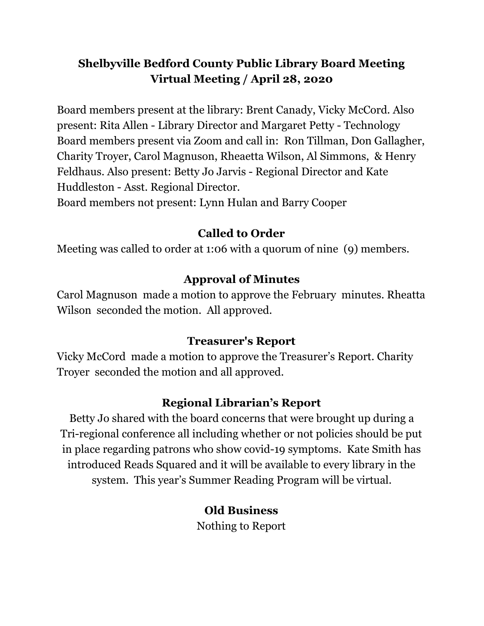### **Shelbyville Bedford County Public Library Board Meeting Virtual Meeting / April 28, 2020**

Board members present at the library: Brent Canady, Vicky McCord. Also present: Rita Allen - Library Director and Margaret Petty - Technology Board members present via Zoom and call in: Ron Tillman, Don Gallagher, Charity Troyer, Carol Magnuson, Rheaetta Wilson, Al Simmons, & Henry Feldhaus. Also present: Betty Jo Jarvis - Regional Director and Kate Huddleston - Asst. Regional Director.

Board members not present: Lynn Hulan and Barry Cooper

### **Called to Order**

Meeting was called to order at 1:06 with a quorum of nine (9) members.

## **Approval of Minutes**

Carol Magnuson made a motion to approve the February minutes. Rheatta Wilson seconded the motion. All approved.

### **Treasurer's Report**

Vicky McCord made a motion to approve the Treasurer's Report. Charity Troyer seconded the motion and all approved.

### **Regional Librarian's Report**

Betty Jo shared with the board concerns that were brought up during a Tri-regional conference all including whether or not policies should be put in place regarding patrons who show covid-19 symptoms. Kate Smith has introduced Reads Squared and it will be available to every library in the system. This year's Summer Reading Program will be virtual.

## **Old Business**

Nothing to Report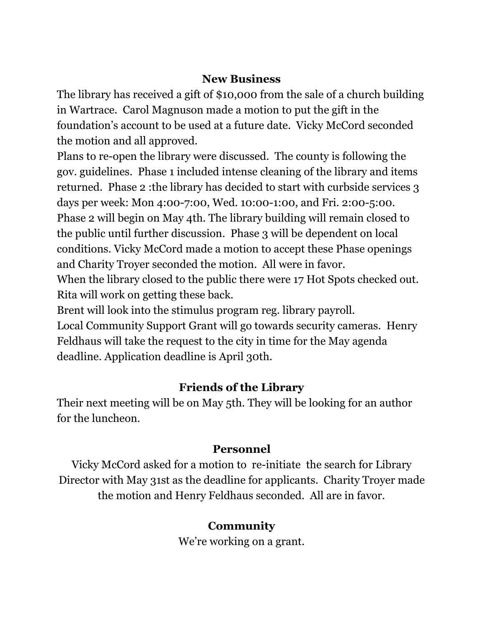#### **New Business**

The library has received a gift of \$10,000 from the sale of a church building in Wartrace. Carol Magnuson made a motion to put the gift in the foundation's account to be used at a future date. Vicky McCord seconded the motion and all approved.

Plans to re-open the library were discussed. The county is following the gov. guidelines. Phase 1 included intense cleaning of the library and items returned. Phase 2 :the library has decided to start with curbside services 3 days per week: Mon 4:00-7:00, Wed. 10:00-1:00, and Fri. 2:00-5:00. Phase 2 will begin on May 4th. The library building will remain closed to the public until further discussion. Phase 3 will be dependent on local conditions. Vicky McCord made a motion to accept these Phase openings and Charity Troyer seconded the motion. All were in favor.

When the library closed to the public there were 17 Hot Spots checked out. Rita will work on getting these back.

Brent will look into the stimulus program reg. library payroll. Local Community Support Grant will go towards security cameras. Henry Feldhaus will take the request to the city in time for the May agenda deadline. Application deadline is April 30th.

### **Friends of the Library**

Their next meeting will be on May 5th. They will be looking for an author for the luncheon.

### **Personnel**

Vicky McCord asked for a motion to re-initiate the search for Library Director with May 31st as the deadline for applicants. Charity Troyer made the motion and Henry Feldhaus seconded. All are in favor.

## **Community**

We're working on a grant.